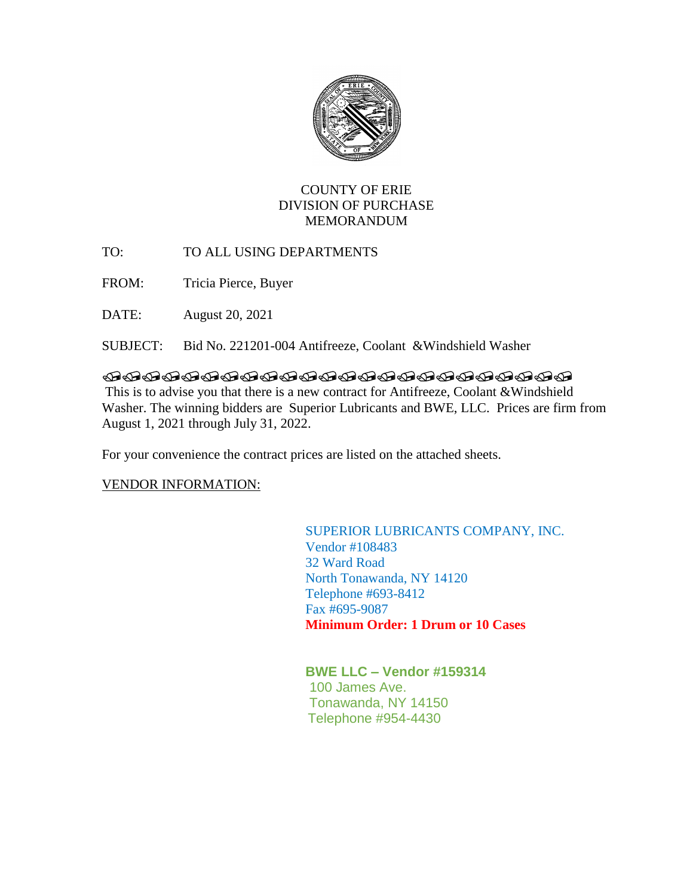

# COUNTY OF ERIE DIVISION OF PURCHASE MEMORANDUM

TO: TO ALL USING DEPARTMENTS

FROM: Tricia Pierce, Buyer

DATE: August 20, 2021

SUBJECT: Bid No. 221201-004 Antifreeze, Coolant &Windshield Washer

## 

This is to advise you that there is a new contract for Antifreeze, Coolant &Windshield Washer. The winning bidders are Superior Lubricants and BWE, LLC. Prices are firm from August 1, 2021 through July 31, 2022.

For your convenience the contract prices are listed on the attached sheets.

## VENDOR INFORMATION:

## SUPERIOR LUBRICANTS COMPANY, INC. Vendor #108483 32 Ward Road North Tonawanda, NY 14120 Telephone #693-8412 Fax #695-9087  **Minimum Order: 1 Drum or 10 Cases**

**BWE LLC – Vendor #159314** 100 James Ave. Tonawanda, NY 14150 Telephone #954-4430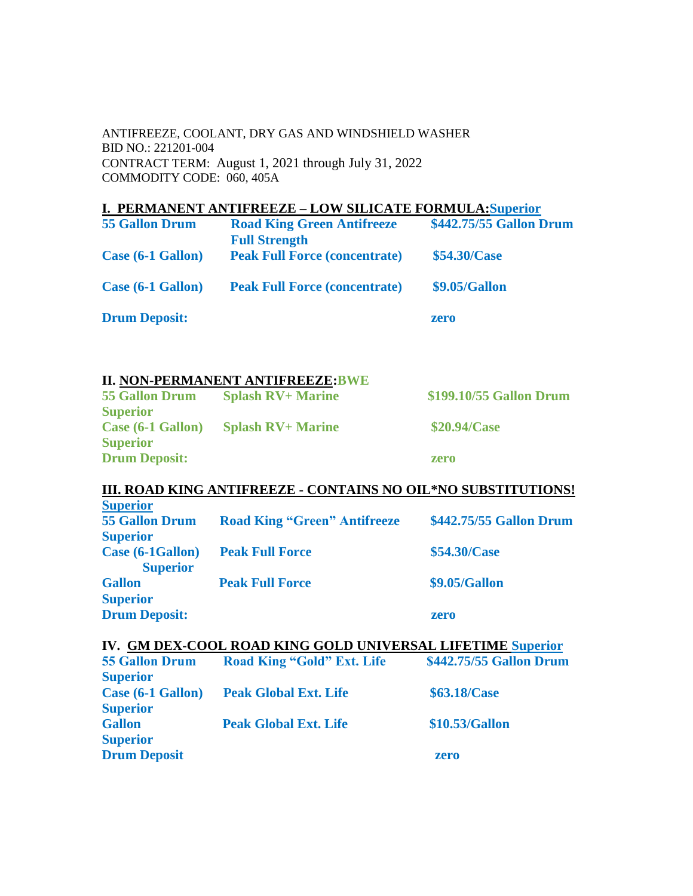## ANTIFREEZE, COOLANT, DRY GAS AND WINDSHIELD WASHER BID NO.: 221201-004 CONTRACT TERM: August 1, 2021 through July 31, 2022 COMMODITY CODE: 060, 405A

# **I. PERMANENT ANTIFREEZE – LOW SILICATE FORMULA:Superior**

| <b>55 Gallon Drum</b> | <b>Road King Green Antifreeze</b>    | \$442.75/55 Gallon Drum |
|-----------------------|--------------------------------------|-------------------------|
|                       | <b>Full Strength</b>                 |                         |
| Case (6-1 Gallon)     | <b>Peak Full Force (concentrate)</b> | \$54.30/Case            |
|                       |                                      |                         |
| Case (6-1 Gallon)     | <b>Peak Full Force (concentrate)</b> | \$9.05/Gallon           |
|                       |                                      |                         |
| <b>Drum Deposit:</b>  |                                      | zero                    |

## **II. NON-PERMANENT ANTIFREEZE:BWE**

| <b>55 Gallon Drum</b> | <b>Splash RV+ Marine</b> | \$199,10/55 Gallon Drum |
|-----------------------|--------------------------|-------------------------|
| <b>Superior</b>       |                          |                         |
| Case (6-1 Gallon)     | <b>Splash RV+ Marine</b> | \$20.94/Case            |
| <b>Superior</b>       |                          |                         |
| <b>Drum Deposit:</b>  |                          | zero                    |

## **III. ROAD KING ANTIFREEZE - CONTAINS NO OIL\*NO SUBSTITUTIONS!**

| <b>Superior</b>       |                                     |                         |
|-----------------------|-------------------------------------|-------------------------|
| <b>55 Gallon Drum</b> | <b>Road King "Green" Antifreeze</b> | \$442.75/55 Gallon Drum |
| <b>Superior</b>       |                                     |                         |
| Case (6-1Gallon)      | <b>Peak Full Force</b>              | \$54.30/Case            |
| <b>Superior</b>       |                                     |                         |
| <b>Gallon</b>         | <b>Peak Full Force</b>              | \$9.05/Gallon           |
| <b>Superior</b>       |                                     |                         |
| <b>Drum Deposit:</b>  |                                     | zero                    |
|                       |                                     |                         |

## **IV. GM DEX-COOL ROAD KING GOLD UNIVERSAL LIFETIME Superior**

| <b>55 Gallon Drum</b> | <b>Road King "Gold" Ext. Life</b> | \$442.75/55 Gallon Drum |
|-----------------------|-----------------------------------|-------------------------|
| <b>Superior</b>       |                                   |                         |
| Case (6-1 Gallon)     | <b>Peak Global Ext. Life</b>      | \$63.18/Case            |
| <b>Superior</b>       |                                   |                         |
| <b>Gallon</b>         | <b>Peak Global Ext. Life</b>      | \$10.53/Gallon          |
| <b>Superior</b>       |                                   |                         |
| <b>Drum Deposit</b>   |                                   | zero                    |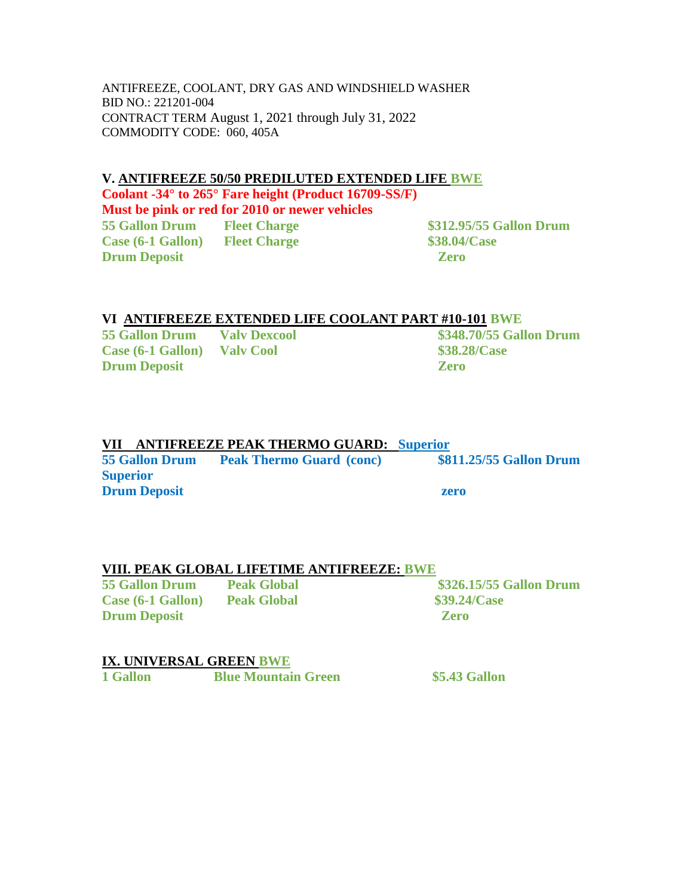ANTIFREEZE, COOLANT, DRY GAS AND WINDSHIELD WASHER BID NO.: 221201-004 CONTRACT TERM August 1, 2021 through July 31, 2022 COMMODITY CODE: 060, 405A

### **V. ANTIFREEZE 50/50 PREDILUTED EXTENDED LIFE BWE**

**Coolant -34° to 265° Fare height (Product 16709-SS/F) Must be pink or red for 2010 or newer vehicles 55 Gallon Drum Fleet Charge \$312.95/55 Gallon Drum Case (6-1 Gallon) Fleet Charge \$38.04/Case Drum Deposit Zero** 

## **VI ANTIFREEZE EXTENDED LIFE COOLANT PART #10-101 BWE**

**55 Gallon Drum Valv Dexcool \$348.70/55 Gallon Drum Case (6-1 Gallon) Valv Cool \$38.28/Case Drum Deposit Zero** 

## **VII ANTIFREEZE PEAK THERMO GUARD: Superior**

**55 Gallon Drum Peak Thermo Guard (conc) \$811.25/55 Gallon Drum Superior Drum Deposit zero** 

## **VIII. PEAK GLOBAL LIFETIME ANTIFREEZE: BWE**

**Case (6-1 Gallon) Peak Global \$39.24/Case Drum Deposit Zero** 

**55 Gallon Drum Peak Global \$326.15/55 Gallon Drum** 

## **IX. UNIVERSAL GREEN BWE**

**1 Gallon Blue Mountain Green \$5.43 Gallon**